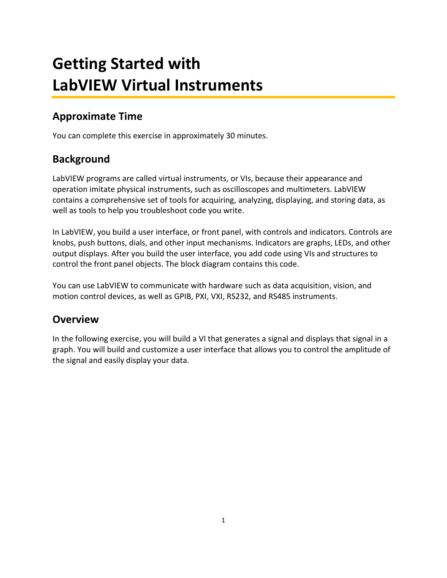# **Getting Started with LabVIEW Virtual Instruments**

#### **Approximate Time**

You can complete this exercise in approximately 30 minutes.

#### **Background**

LabVIEW programs are called virtual instruments, or VIs, because their appearance and operation imitate physical instruments, such as oscilloscopes and multimeters. LabVIEW contains a comprehensive set of tools for acquiring, analyzing, displaying, and storing data, as well as tools to help you troubleshoot code you write.

In LabVIEW, you build a user interface, or front panel, with controls and indicators. Controls are knobs, push buttons, dials, and other input mechanisms. Indicators are graphs, LEDs, and other output displays. After you build the user interface, you add code using VIs and structures to control the front panel objects. The block diagram contains this code.

You can use LabVIEW to communicate with hardware such as data acquisition, vision, and motion control devices, as well as GPIB, PXI, VXI, RS232, and RS485 instruments.

#### **Overview**

In the following exercise, you will build a VI that generates a signal and displays that signal in a graph. You will build and customize a user interface that allows you to control the amplitude of the signal and easily display your data.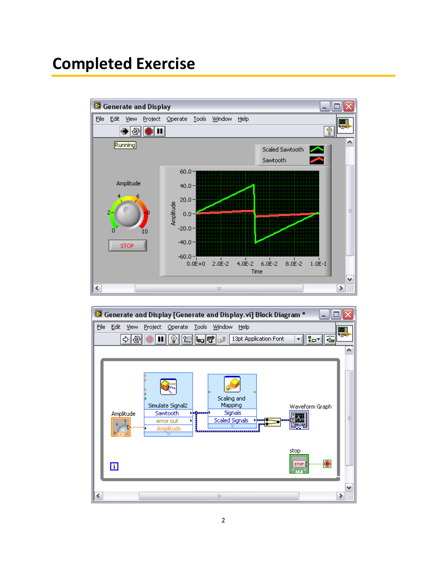### **Completed Exercise**



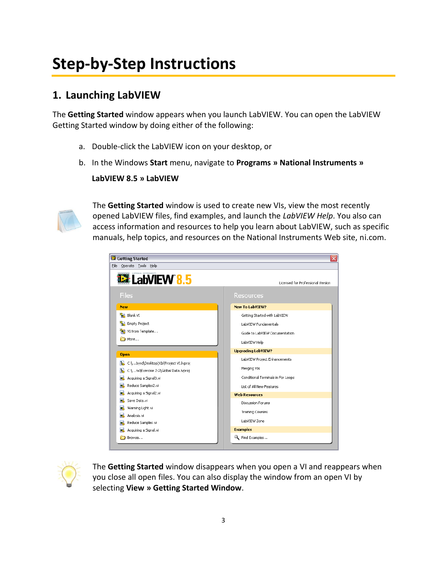## **Step-by-Step Instructions**

#### **1. Launching LabVIEW**

The **Getting Started** window appears when you launch LabVIEW. You can open the LabVIEW Getting Started window by doing either of the following:

- a. Double-click the LabVIEW icon on your desktop, or
- b. In the Windows **Start** menu, navigate to **Programs » National Instruments »**

**LabVIEW 8.5 » LabVIEW**



The **Getting Started** window is used to create new VIs, view the most recently opened LabVIEW files, find examples, and launch the *LabVIEW Help*. You also can access information and resources to help you learn about LabVIEW, such as specific manuals, help topics, and resources on the National Instruments Web site, ni.com.

| <b>B</b> Getting Started                                                   | $\overline{\mathsf{x}}$ |
|----------------------------------------------------------------------------|-------------------------|
| Operate Tools Help<br>Eile                                                 |                         |
| <b>12 LabVIEW 8.5</b><br>Licensed for Professional Version                 |                         |
| <b>Files</b><br>Resources                                                  |                         |
| <b>New To LabVIEW?</b><br><b>New</b>                                       |                         |
| 櫷<br>Blank VI<br>Getting Started with LabVIEW                              |                         |
| <b>Empty Project</b><br>ŤЫ.<br>LabVIEW Fundamentals                        |                         |
| VI from Template<br>Guide to LabVIEW Documentation                         |                         |
| More<br>LabVIEW Help                                                       |                         |
| <b>Upgrading LabVIEW?</b><br><b>Open</b>                                   |                         |
| LabVIEW Project Enhancements<br>[a], C:\byrd\Desktop\VIs\Project VI.lvproj |                         |
| Merging VIs<br>C:\ns\Exercise 2-2\Global Data.lvproj<br>h.                 |                         |
| Conditional Terminals in For Loops<br>Acquiring a Signal3.vi               |                         |
| Reduce Samples2.vi<br>List of All New Features                             |                         |
| Acquiring a Signal2.vi<br><b>Web Resources</b>                             |                         |
| Save Data.vi<br><b>Discussion Forums</b>                                   |                         |
| Warning Light.vi<br><b>Training Courses</b>                                |                         |
| Analysis.vi<br>LabVIEW Zone                                                |                         |
| Reduce Samples.vi<br><b>Examples</b>                                       |                         |
| Acquiring a Signal.vi                                                      |                         |
| Find Examples<br>Browse                                                    |                         |



The **Getting Started** window disappears when you open a VI and reappears when you close all open files. You can also display the window from an open VI by selecting **View » Getting Started Window**.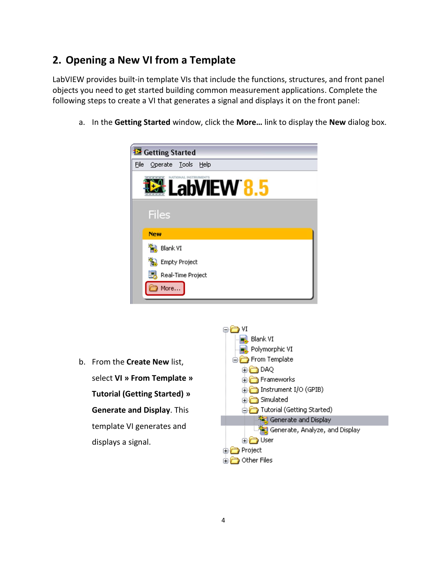#### **2. Opening a New VI from a Template**

LabVIEW provides built-in template VIs that include the functions, structures, and front panel objects you need to get started building common measurement applications. Complete the following steps to create a VI that generates a signal and displays it on the front panel:

a. In the **Getting Started** window, click the **More…** link to display the **New** dialog box.



b. From the **Create New** list, select **VI » From Template » Tutorial (Getting Started) » Generate and Display**. This template VI generates and displays a signal.

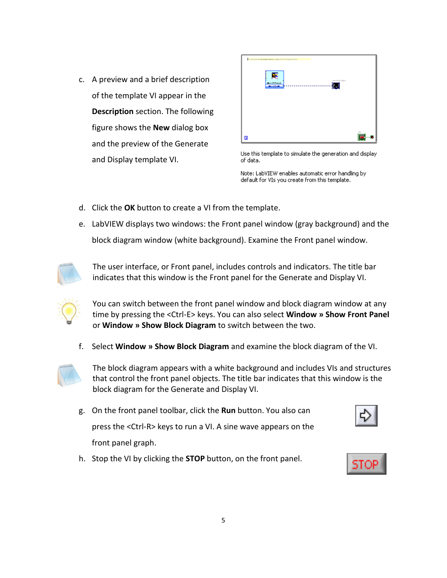c. A preview and a brief description of the template VI appear in the **Description** section. The following figure shows the **New** dialog box and the preview of the Generate and Display template VI.

| . Let the case that the terminal terminal is a transport for the contract of the contract $\Delta$<br>₹<br>exercism shaps.<br><b>March 201</b> |      |
|------------------------------------------------------------------------------------------------------------------------------------------------|------|
| -12.<br>سيسد<br>---<br><br>.                                                                                                                   |      |
|                                                                                                                                                |      |
| $\blacksquare$                                                                                                                                 | - 15 |

Use this template to simulate the generation and display of data.

Note: LabVIEW enables automatic error handling by default for VIs you create from this template.

- d. Click the **OK** button to create a VI from the template.
- e. LabVIEW displays two windows: the Front panel window (gray background) and the block diagram window (white background). Examine the Front panel window.



The user interface, or Front panel, includes controls and indicators. The title bar indicates that this window is the Front panel for the Generate and Display VI.



You can switch between the front panel window and block diagram window at any time by pressing the <Ctrl-E> keys. You can also select **Window » Show Front Panel** or **Window » Show Block Diagram** to switch between the two.

f. Select **Window » Show Block Diagram** and examine the block diagram of the VI.



The block diagram appears with a white background and includes VIs and structures that control the front panel objects. The title bar indicates that this window is the block diagram for the Generate and Display VI.

- g. On the front panel toolbar, click the **Run** button. You also can press the <Ctrl-R> keys to run a VI. A sine wave appears on the front panel graph.
- h. Stop the VI by clicking the **STOP** button, on the front panel.



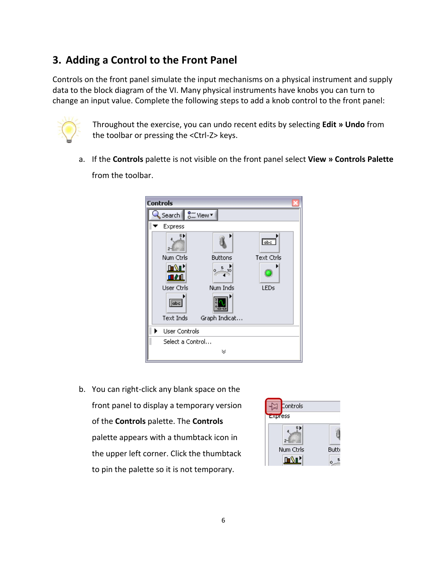#### **3. Adding a Control to the Front Panel**

Controls on the front panel simulate the input mechanisms on a physical instrument and supply data to the block diagram of the VI. Many physical instruments have knobs you can turn to change an input value. Complete the following steps to add a knob control to the front panel:



Throughout the exercise, you can undo recent edits by selecting **Edit » Undo** from the toolbar or pressing the <Ctrl-Z> keys.

a. If the **Controls** palette is not visible on the front panel select **View » Controls Palette**  from the toolbar.



b. You can right-click any blank space on the front panel to display a temporary version of the **Controls** palette. The **Controls**  palette appears with a thumbtack icon in the upper left corner. Click the thumbtack to pin the palette so it is not temporary.

| Controls<br>Express |              |
|---------------------|--------------|
|                     |              |
| Num Ctrls           | <b>Butto</b> |
| <b>DATE</b>         |              |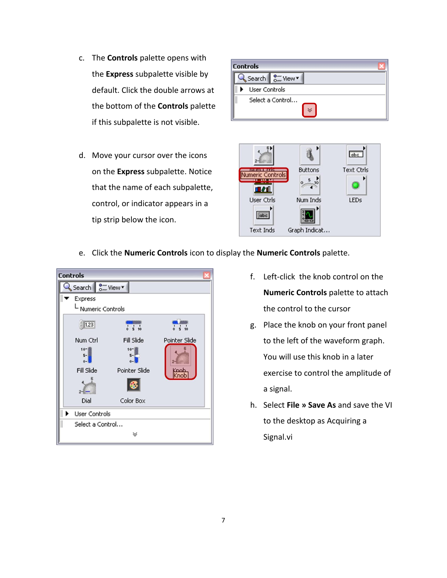- c. The **Controls** palette opens with the **Express** subpalette visible by default. Click the double arrows at the bottom of the **Controls** palette if this subpalette is not visible.
- d. Move your cursor over the icons on the **Express** subpalette. Notice that the name of each subpalette, control, or indicator appears in a tip strip below the icon.





e. Click the **Numeric Controls** icon to display the **Numeric Controls** palette.



- f. Left-click the knob control on the **Numeric Controls** palette to attach the control to the cursor
- g. Place the knob on your front panel to the left of the waveform graph. You will use this knob in a later exercise to control the amplitude of a signal.
- h. Select **File » Save As** and save the VI to the desktop as Acquiring a Signal.vi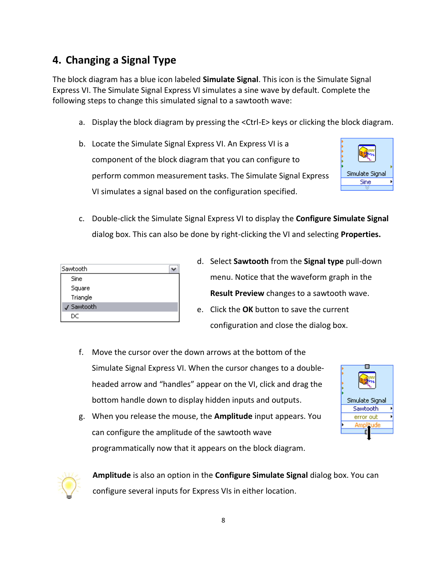#### **4. Changing a Signal Type**

The block diagram has a blue icon labeled **Simulate Signal**. This icon is the Simulate Signal Express VI. The Simulate Signal Express VI simulates a sine wave by default. Complete the following steps to change this simulated signal to a sawtooth wave:

- a. Display the block diagram by pressing the <Ctrl-E> keys or clicking the block diagram.
- b. Locate the Simulate Signal Express VI. An Express VI is a component of the block diagram that you can configure to perform common measurement tasks. The Simulate Signal Express VI simulates a signal based on the configuration specified.



c. Double-click the Simulate Signal Express VI to display the **Configure Simulate Signal**  dialog box. This can also be done by right-clicking the VI and selecting **Properties.** 

| Sawtooth   |  |
|------------|--|
| Sine       |  |
| Square     |  |
| Triangle   |  |
| J Sawtooth |  |
| DC         |  |

- d. Select **Sawtooth** from the **Signal type** pull-down menu. Notice that the waveform graph in the **Result Preview** changes to a sawtooth wave.
- e. Click the **OK** button to save the current configuration and close the dialog box.
- f. Move the cursor over the down arrows at the bottom of the Simulate Signal Express VI. When the cursor changes to a doubleheaded arrow and "handles" appear on the VI, click and drag the bottom handle down to display hidden inputs and outputs.

| Simulate Signal |  |
|-----------------|--|
| Sawtooth        |  |
| error out       |  |
|                 |  |
|                 |  |

g. When you release the mouse, the **Amplitude** input appears. You can configure the amplitude of the sawtooth wave programmatically now that it appears on the block diagram.



**Amplitude** is also an option in the **Configure Simulate Signal** dialog box. You can configure several inputs for Express VIs in either location.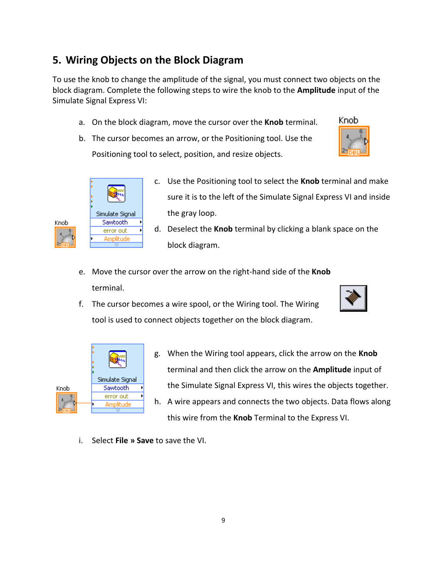#### **5. Wiring Objects on the Block Diagram**

To use the knob to change the amplitude of the signal, you must connect two objects on the block diagram. Complete the following steps to wire the knob to the **Amplitude** input of the Simulate Signal Express VI:

- a. On the block diagram, move the cursor over the **Knob** terminal.
- b. The cursor becomes an arrow, or the Positioning tool. Use the Positioning tool to select, position, and resize objects.



- c. Use the Positioning tool to select the **Knob** terminal and make sure it is to the left of the Simulate Signal Express VI and inside the gray loop.
- d. Deselect the **Knob** terminal by clicking a blank space on the block diagram.
- e. Move the cursor over the arrow on the right-hand side of the **Knob**  terminal.
- f. The cursor becomes a wire spool, or the Wiring tool. The Wiring tool is used to connect objects together on the block diagram.



Knob



- g. When the Wiring tool appears, click the arrow on the **Knob**  terminal and then click the arrow on the **Amplitude** input of the Simulate Signal Express VI, this wires the objects together.
- h. A wire appears and connects the two objects. Data flows along this wire from the **Knob** Terminal to the Express VI.
- i. Select **File » Save** to save the VI.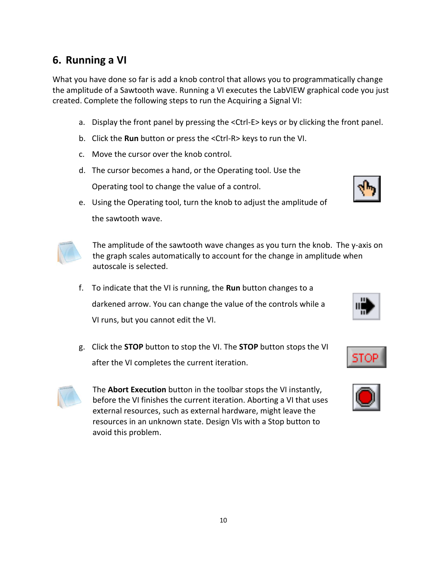#### **6. Running a VI**

What you have done so far is add a knob control that allows you to programmatically change the amplitude of a Sawtooth wave. Running a VI executes the LabVIEW graphical code you just created. Complete the following steps to run the Acquiring a Signal VI:

- a. Display the front panel by pressing the <Ctrl-E> keys or by clicking the front panel.
- b. Click the **Run** button or press the <Ctrl-R> keys to run the VI.
- c. Move the cursor over the knob control.
- d. The cursor becomes a hand, or the Operating tool. Use the Operating tool to change the value of a control.
- e. Using the Operating tool, turn the knob to adjust the amplitude of the sawtooth wave.

The amplitude of the sawtooth wave changes as you turn the knob. The y-axis on the graph scales automatically to account for the change in amplitude when autoscale is selected.

- f. To indicate that the VI is running, the **Run** button changes to a darkened arrow. You can change the value of the controls while a VI runs, but you cannot edit the VI.
- g. Click the **STOP** button to stop the VI. The **STOP** button stops the VI after the VI completes the current iteration.

The **Abort Execution** button in the toolbar stops the VI instantly, before the VI finishes the current iteration. Aborting a VI that uses external resources, such as external hardware, might leave the resources in an unknown state. Design VIs with a Stop button to avoid this problem.





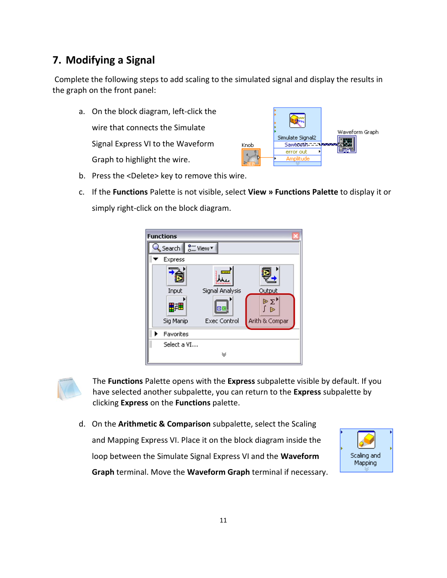#### **7. Modifying a Signal**

Complete the following steps to add scaling to the simulated signal and display the results in the graph on the front panel:

- a. On the block diagram, left-click the wire that connects the Simulate Waveform Graph Simulate Signal2 Signal Express VI to the Waveform Sawboeth-1-1 Knob error out k, Graph to highlight the wire. Amplitude
- b. Press the <Delete> key to remove this wire.
- c. If the **Functions** Palette is not visible, select **View » Functions Palette** to display it or simply right-click on the block diagram.





The **Functions** Palette opens with the **Express** subpalette visible by default. If you have selected another subpalette, you can return to the **Express** subpalette by clicking **Express** on the **Functions** palette.

d. On the **Arithmetic & Comparison** subpalette, select the Scaling and Mapping Express VI. Place it on the block diagram inside the loop between the Simulate Signal Express VI and the **Waveform** 



**Graph** terminal. Move the **Waveform Graph** terminal if necessary.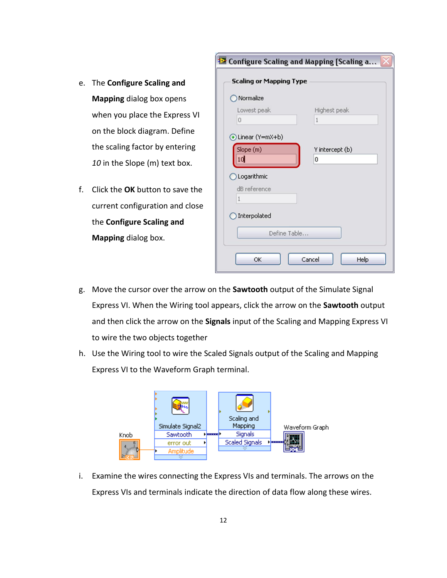- e. The **Configure Scaling and Mapping** dialog box opens when you place the Express VI on the block diagram. Define the scaling factor by entering *10* in the Slope (m) text box.
- f. Click the **OK** button to save the current configuration and close the **Configure Scaling and Mapping** dialog box.

| <sup>12</sup> Configure Scaling and Mapping [Scaling a |                 |
|--------------------------------------------------------|-----------------|
| <b>Scaling or Mapping Type</b>                         |                 |
| Normalize                                              |                 |
| Lowest peak                                            | Highest peak    |
| $\overline{0}$                                         | 1               |
| Linear (Y=mX+b)                                        |                 |
| Slope (m)                                              | Y intercept (b) |
| 10                                                     | 0               |
| Logarithmic                                            |                 |
| dB reference                                           |                 |
| $\mathbf{1}$                                           |                 |
| Interpolated                                           |                 |
| Define Table.                                          |                 |
|                                                        |                 |
| OK                                                     | Cancel<br>Help  |

- g. Move the cursor over the arrow on the **Sawtooth** output of the Simulate Signal Express VI. When the Wiring tool appears, click the arrow on the **Sawtooth** output and then click the arrow on the **Signals** input of the Scaling and Mapping Express VI to wire the two objects together
- h. Use the Wiring tool to wire the Scaled Signals output of the Scaling and Mapping Express VI to the Waveform Graph terminal.



i. Examine the wires connecting the Express VIs and terminals. The arrows on the Express VIs and terminals indicate the direction of data flow along these wires.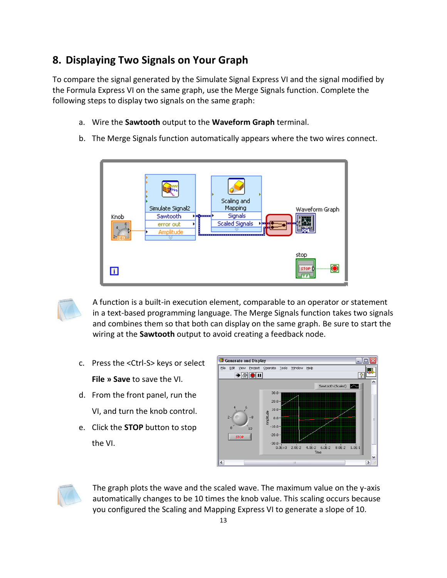#### **8. Displaying Two Signals on Your Graph**

To compare the signal generated by the Simulate Signal Express VI and the signal modified by the Formula Express VI on the same graph, use the Merge Signals function. Complete the following steps to display two signals on the same graph:

- a. Wire the **Sawtooth** output to the **Waveform Graph** terminal.
- b. The Merge Signals function automatically appears where the two wires connect.





A function is a built-in execution element, comparable to an operator or statement in a text-based programming language. The Merge Signals function takes two signals and combines them so that both can display on the same graph. Be sure to start the wiring at the **Sawtooth** output to avoid creating a feedback node.

- c. Press the <Ctrl-S> keys or select **File » Save** to save the VI.
- d. From the front panel, run the VI, and turn the knob control.
- e. Click the **STOP** button to stop the VI.





The graph plots the wave and the scaled wave. The maximum value on the y-axis automatically changes to be 10 times the knob value. This scaling occurs because you configured the Scaling and Mapping Express VI to generate a slope of 10.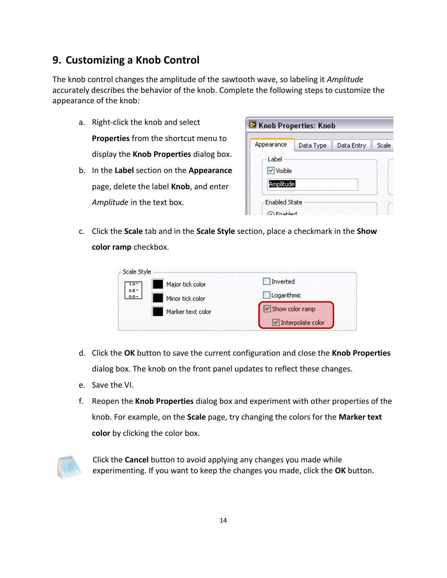#### **9. Customizing a Knob Control**

The knob control changes the amplitude of the sawtooth wave, so labeling it *Amplitude* accurately describes the behavior of the knob. Complete the following steps to customize the appearance of the knob:

a. Right-click the knob and select **Properties** from the shortcut menu to display the **Knob Properties** dialog box. b. In the **Label** section on the **Appearance**  page, delete the label **Knob**, and enter

*Amplitude* in the text box.

| Knob Properties: Knob                                                                      |           |            |       |  |  |
|--------------------------------------------------------------------------------------------|-----------|------------|-------|--|--|
| Appearance                                                                                 | Data Type | Data Entry | Scale |  |  |
| Label<br>$\triangledown$ Visible<br>Amplitude<br><b>Enabled State</b><br><b>Considered</b> |           |            |       |  |  |

c. Click the **Scale** tab and in the **Scale Style** section, place a checkmark in the **Show color ramp** checkbox.

| Scale Style<br>Major tick color                          | Inverted          |
|----------------------------------------------------------|-------------------|
| $\frac{1.0 - 1}{0.5 - 1}$<br>$0.0 -$<br>Minor tick color | Logarithmic       |
| Marker text color                                        | Show color ramp   |
|                                                          | Interpolate color |

- d. Click the **OK** button to save the current configuration and close the **Knob Properties**  dialog box. The knob on the front panel updates to reflect these changes.
- e. Save the VI.
- f. Reopen the **Knob Properties** dialog box and experiment with other properties of the knob. For example, on the **Scale** page, try changing the colors for the **Marker text color** by clicking the color box.



Click the **Cancel** button to avoid applying any changes you made while experimenting. If you want to keep the changes you made, click the **OK** button.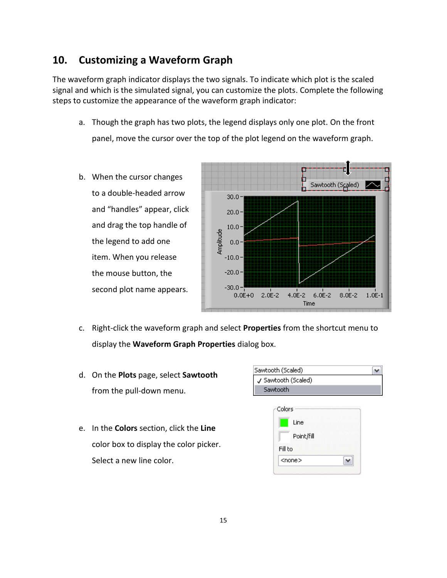#### **10. Customizing a Waveform Graph**

The waveform graph indicator displays the two signals. To indicate which plot is the scaled signal and which is the simulated signal, you can customize the plots. Complete the following steps to customize the appearance of the waveform graph indicator:

- a. Though the graph has two plots, the legend displays only one plot. On the front panel, move the cursor over the top of the plot legend on the waveform graph.
- b. When the cursor changes to a double-headed arrow and "handles" appear, click and drag the top handle of the legend to add one item. When you release the mouse button, the second plot name appears.



- c. Right-click the waveform graph and select **Properties** from the shortcut menu to display the **Waveform Graph Properties** dialog box.
- d. On the **Plots** page, select **Sawtooth**  from the pull-down menu.
- e. In the **Colors** section, click the **Line**  color box to display the color picker. Select a new line color.

| Sawtooth (Scaled)   |
|---------------------|
| J Sawtooth (Scaled) |
| Sawtooth            |
|                     |

|         | Line          |  |
|---------|---------------|--|
|         | Point/fill    |  |
| Fill to |               |  |
|         | <none></none> |  |